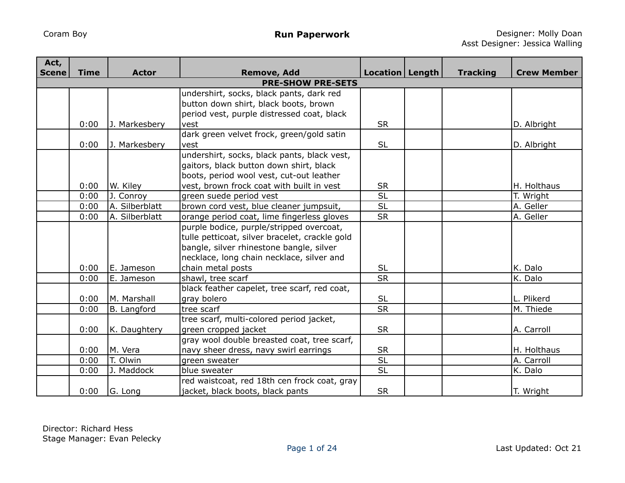| Act,         |             |                |                                                |                   |                 |                    |
|--------------|-------------|----------------|------------------------------------------------|-------------------|-----------------|--------------------|
| <b>Scene</b> | <b>Time</b> | <b>Actor</b>   | <b>Remove, Add</b>                             | Location   Length | <b>Tracking</b> | <b>Crew Member</b> |
|              |             |                | <b>PRE-SHOW PRE-SETS</b>                       |                   |                 |                    |
|              |             |                | undershirt, socks, black pants, dark red       |                   |                 |                    |
|              |             |                | button down shirt, black boots, brown          |                   |                 |                    |
|              |             |                | period vest, purple distressed coat, black     |                   |                 |                    |
|              | 0:00        | J. Markesbery  | vest                                           | <b>SR</b>         |                 | D. Albright        |
|              |             |                | dark green velvet frock, green/gold satin      |                   |                 |                    |
|              | 0:00        | J. Markesbery  | vest                                           | <b>SL</b>         |                 | D. Albright        |
|              |             |                | undershirt, socks, black pants, black vest,    |                   |                 |                    |
|              |             |                | gaitors, black button down shirt, black        |                   |                 |                    |
|              |             |                | boots, period wool vest, cut-out leather       |                   |                 |                    |
|              | 0:00        | W. Kiley       | vest, brown frock coat with built in vest      | <b>SR</b>         |                 | H. Holthaus        |
|              | 0:00        | J. Conroy      | green suede period vest                        | <b>SL</b>         |                 | T. Wright          |
|              | 0:00        | A. Silberblatt | brown cord vest, blue cleaner jumpsuit,        | $\overline{SL}$   |                 | A. Geller          |
|              | 0:00        | A. Silberblatt | orange period coat, lime fingerless gloves     | <b>SR</b>         |                 | A. Geller          |
|              |             |                | purple bodice, purple/stripped overcoat,       |                   |                 |                    |
|              |             |                | tulle petticoat, silver bracelet, crackle gold |                   |                 |                    |
|              |             |                | bangle, silver rhinestone bangle, silver       |                   |                 |                    |
|              |             |                | necklace, long chain necklace, silver and      |                   |                 |                    |
|              | 0:00        | E. Jameson     | chain metal posts                              | <b>SL</b>         |                 | K. Dalo            |
|              | 0:00        | E. Jameson     | shawl, tree scarf                              | <b>SR</b>         |                 | K. Dalo            |
|              |             |                | black feather capelet, tree scarf, red coat,   |                   |                 |                    |
|              | 0:00        | M. Marshall    | gray bolero                                    | <b>SL</b>         |                 | L. Plikerd         |
|              | 0:00        | B. Langford    | tree scarf                                     | <b>SR</b>         |                 | M. Thiede          |
|              |             |                | tree scarf, multi-colored period jacket,       |                   |                 |                    |
|              | 0:00        | K. Daughtery   | green cropped jacket                           | <b>SR</b>         |                 | A. Carroll         |
|              |             |                | gray wool double breasted coat, tree scarf,    |                   |                 |                    |
|              | 0:00        | M. Vera        | navy sheer dress, navy swirl earrings          | <b>SR</b>         |                 | H. Holthaus        |
|              | 0:00        | T. Olwin       | green sweater                                  | <b>SL</b>         |                 | A. Carroll         |
|              | 0:00        | J. Maddock     | blue sweater                                   | <b>SL</b>         |                 | K. Dalo            |
|              |             |                | red waistcoat, red 18th cen frock coat, gray   |                   |                 |                    |
|              | 0:00        | G. Long        | jacket, black boots, black pants               | <b>SR</b>         |                 | T. Wright          |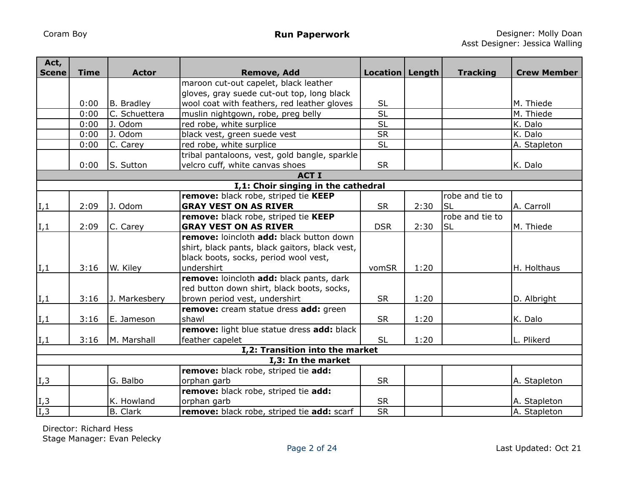| Act,              |              |                             |                                                             |                          |      |                 |                    |
|-------------------|--------------|-----------------------------|-------------------------------------------------------------|--------------------------|------|-----------------|--------------------|
| <b>Scene</b>      | <b>Time</b>  | <b>Actor</b>                | <b>Remove, Add</b><br>maroon cut-out capelet, black leather | Location   Length        |      | <b>Tracking</b> | <b>Crew Member</b> |
|                   |              |                             | gloves, gray suede cut-out top, long black                  |                          |      |                 |                    |
|                   | 0:00         |                             |                                                             | <b>SL</b>                |      |                 | M. Thiede          |
|                   | 0:00         | B. Bradley<br>C. Schuettera | wool coat with feathers, red leather gloves                 | $\overline{\mathsf{SL}}$ |      |                 | M. Thiede          |
|                   |              |                             | muslin nightgown, robe, preg belly                          | <b>SL</b>                |      |                 |                    |
|                   | 0:00<br>0:00 | J. Odom<br>J. Odom          | red robe, white surplice                                    | $\overline{\text{SR}}$   |      |                 | K. Dalo<br>K. Dalo |
|                   |              |                             | black vest, green suede vest                                | <b>SL</b>                |      |                 |                    |
|                   | 0:00         | C. Carey                    | red robe, white surplice                                    |                          |      |                 | A. Stapleton       |
|                   |              |                             | tribal pantaloons, vest, gold bangle, sparkle               |                          |      |                 |                    |
|                   | 0:00         | S. Sutton                   | velcro cuff, white canvas shoes<br><b>ACT I</b>             | <b>SR</b>                |      |                 | K. Dalo            |
|                   |              |                             | I,1: Choir singing in the cathedral                         |                          |      |                 |                    |
|                   |              |                             | remove: black robe, striped tie KEEP                        |                          |      | robe and tie to |                    |
|                   | 2:09         | J. Odom                     | <b>GRAY VEST ON AS RIVER</b>                                | <b>SR</b>                | 2:30 | <b>SL</b>       | A. Carroll         |
| I,1               |              |                             | remove: black robe, striped tie KEEP                        |                          |      | robe and tie to |                    |
|                   | 2:09         |                             | <b>GRAY VEST ON AS RIVER</b>                                | <b>DSR</b>               | 2:30 | <b>SL</b>       | M. Thiede          |
| I,1               |              | C. Carey                    | remove: loincloth add: black button down                    |                          |      |                 |                    |
|                   |              |                             |                                                             |                          |      |                 |                    |
|                   |              |                             | shirt, black pants, black gaitors, black vest,              |                          |      |                 |                    |
|                   |              |                             | black boots, socks, period wool vest,                       |                          |      |                 |                    |
| I,1               | 3:16         | W. Kiley                    | undershirt                                                  | vomSR                    | 1:20 |                 | H. Holthaus        |
|                   |              |                             | remove: loincloth add: black pants, dark                    |                          |      |                 |                    |
|                   |              |                             | red button down shirt, black boots, socks,                  |                          |      |                 |                    |
| I,1               | 3:16         | J. Markesbery               | brown period vest, undershirt                               | <b>SR</b>                | 1:20 |                 | D. Albright        |
|                   |              |                             | remove: cream statue dress add: green                       |                          |      |                 |                    |
| I,1               | 3:16         | E. Jameson                  | shawl                                                       | <b>SR</b>                | 1:20 |                 | K. Dalo            |
|                   |              |                             | remove: light blue statue dress add: black                  |                          |      |                 |                    |
| I,1               | 3:16         | M. Marshall                 | feather capelet                                             | <b>SL</b>                | 1:20 |                 | L. Plikerd         |
|                   |              |                             | I,2: Transition into the market                             |                          |      |                 |                    |
|                   |              |                             | I,3: In the market                                          |                          |      |                 |                    |
|                   |              |                             | remove: black robe, striped tie add:                        | <b>SR</b>                |      |                 |                    |
| I,3               |              | G. Balbo                    | orphan garb                                                 |                          |      |                 | A. Stapleton       |
|                   |              |                             | remove: black robe, striped tie add:                        |                          |      |                 |                    |
| $\frac{I,3}{I,3}$ |              | K. Howland                  | orphan garb                                                 | <b>SR</b>                |      |                 | A. Stapleton       |
|                   |              | <b>B.</b> Clark             | remove: black robe, striped tie add: scarf                  | <b>SR</b>                |      |                 | A. Stapleton       |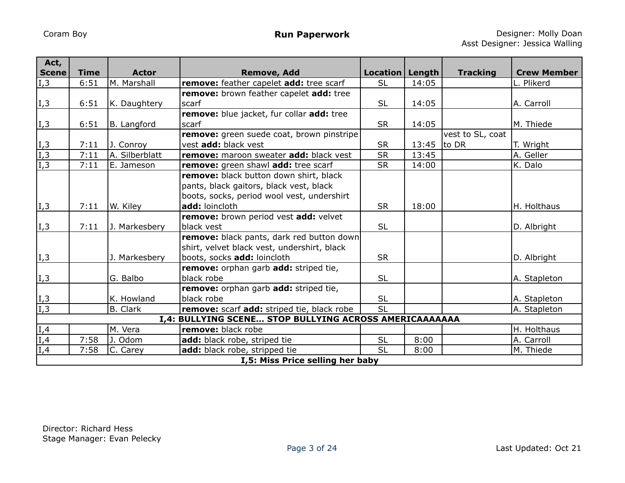| Act,                | <b>Time</b> | <b>Actor</b>   |                                                                                   |                                |       |                  | <b>Crew Member</b> |
|---------------------|-------------|----------------|-----------------------------------------------------------------------------------|--------------------------------|-------|------------------|--------------------|
| <b>Scene</b><br>I,3 | 6:51        | M. Marshall    | <b>Remove, Add</b><br>remove: feather capelet add: tree scarf                     | Location   Length<br><b>SL</b> | 14:05 | <b>Tracking</b>  | L. Plikerd         |
|                     |             |                | remove: brown feather capelet add: tree                                           |                                |       |                  |                    |
| I,3                 | 6:51        | K. Daughtery   | scarf                                                                             | <b>SL</b>                      | 14:05 |                  | A. Carroll         |
|                     |             |                | remove: blue jacket, fur collar add: tree                                         |                                |       |                  |                    |
| $\vert I, 3 \vert$  | 6:51        | B. Langford    | scarf                                                                             | <b>SR</b>                      | 14:05 |                  | M. Thiede          |
|                     |             |                | remove: green suede coat, brown pinstripe                                         |                                |       | vest to SL, coat |                    |
| I,3                 | 7:11        | J. Conroy      | vest add: black vest                                                              | <b>SR</b>                      | 13:45 | to DR            | T. Wright          |
| $\overline{I,3}$    | 7:11        | A. Silberblatt | remove: maroon sweater add: black vest                                            | <b>SR</b>                      | 13:45 |                  | A. Geller          |
| $\overline{I,3}$    | 7:11        | E. Jameson     | remove: green shawl add: tree scarf                                               | <b>SR</b>                      | 14:00 |                  | K. Dalo            |
|                     |             |                | remove: black button down shirt, black<br>pants, black gaitors, black vest, black |                                |       |                  |                    |
|                     |             |                | boots, socks, period wool vest, undershirt                                        |                                |       |                  |                    |
| I,3                 | 7:11        | W. Kiley       | add: loincloth                                                                    | <b>SR</b>                      | 18:00 |                  | H. Holthaus        |
|                     |             |                | remove: brown period vest add: velvet                                             |                                |       |                  |                    |
| $\overline{I}$ , 3  | 7:11        | J. Markesbery  | black vest                                                                        | <b>SL</b>                      |       |                  | D. Albright        |
|                     |             |                | <b>remove:</b> black pants, dark red button down                                  |                                |       |                  |                    |
|                     |             |                | shirt, velvet black vest, undershirt, black                                       |                                |       |                  |                    |
| I,3                 |             | J. Markesbery  | boots, socks add: loincloth                                                       | <b>SR</b>                      |       |                  | D. Albright        |
|                     |             |                | remove: orphan garb add: striped tie,                                             |                                |       |                  |                    |
| I,3                 |             | G. Balbo       | black robe                                                                        | <b>SL</b>                      |       |                  | A. Stapleton       |
|                     |             |                | remove: orphan garb add: striped tie,                                             |                                |       |                  |                    |
| I,3                 |             | K. Howland     | black robe                                                                        | <b>SL</b>                      |       |                  | A. Stapleton       |
| $\overline{I,3}$    |             | B. Clark       | remove: scarf add: striped tie, black robe                                        | <b>SL</b>                      |       |                  | A. Stapleton       |
|                     |             |                | I,4: BULLYING SCENE STOP BULLYING ACROSS AMERICAAAAAAA                            |                                |       |                  |                    |
| $\frac{I,4}{I,4}$   |             | M. Vera        | remove: black robe                                                                |                                |       |                  | H. Holthaus        |
|                     | 7:58        | Odom           | add: black robe, striped tie                                                      | <b>SL</b>                      | 8:00  |                  | A. Carroll         |
| I,4                 | 7:58        | C. Carey       | add: black robe, stripped tie                                                     | <b>SL</b>                      | 8:00  |                  | M. Thiede          |
|                     |             |                | I,5: Miss Price selling her baby                                                  |                                |       |                  |                    |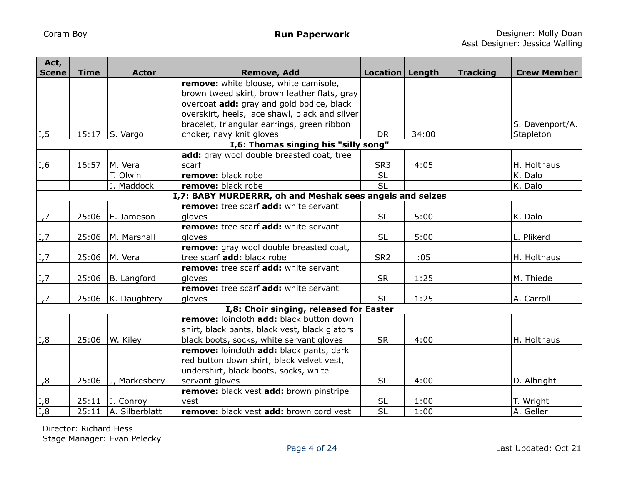| Act,                     |             |                |                                                          |                   |       |                 |                    |
|--------------------------|-------------|----------------|----------------------------------------------------------|-------------------|-------|-----------------|--------------------|
| <b>Scene</b>             | <b>Time</b> | <b>Actor</b>   | <b>Remove, Add</b>                                       | Location   Length |       | <b>Tracking</b> | <b>Crew Member</b> |
|                          |             |                | remove: white blouse, white camisole,                    |                   |       |                 |                    |
|                          |             |                | brown tweed skirt, brown leather flats, gray             |                   |       |                 |                    |
|                          |             |                | overcoat add: gray and gold bodice, black                |                   |       |                 |                    |
|                          |             |                | overskirt, heels, lace shawl, black and silver           |                   |       |                 |                    |
|                          |             |                | bracelet, triangular earrings, green ribbon              |                   |       |                 | S. Davenport/A.    |
| I, 5                     | 15:17       | S. Vargo       | choker, navy knit gloves                                 | <b>DR</b>         | 34:00 |                 | Stapleton          |
|                          |             |                | I,6: Thomas singing his "silly song"                     |                   |       |                 |                    |
|                          |             |                | add: gray wool double breasted coat, tree                |                   |       |                 |                    |
| $\overline{I,6}$         | 16:57       | M. Vera        | scarf                                                    | SR <sub>3</sub>   | 4:05  |                 | H. Holthaus        |
|                          |             | T. Olwin       | remove: black robe                                       | $\overline{SL}$   |       |                 | K. Dalo            |
|                          |             | J. Maddock     | remove: black robe                                       | SL                |       |                 | K. Dalo            |
|                          |             |                | I,7: BABY MURDERRR, oh and Meshak sees angels and seizes |                   |       |                 |                    |
|                          |             |                | remove: tree scarf add: white servant                    |                   |       |                 |                    |
| I,7                      | 25:06       | E. Jameson     | gloves                                                   | <b>SL</b>         | 5:00  |                 | K. Dalo            |
|                          |             |                | remove: tree scarf add: white servant                    |                   |       |                 |                    |
| I,7                      | 25:06       | M. Marshall    | gloves                                                   | <b>SL</b>         | 5:00  |                 | L. Plikerd         |
|                          |             |                | remove: gray wool double breasted coat,                  |                   |       |                 |                    |
| I,7                      | 25:06       | M. Vera        | tree scarf add: black robe                               | SR <sub>2</sub>   | :05   |                 | H. Holthaus        |
|                          |             |                | remove: tree scarf add: white servant                    |                   |       |                 |                    |
| I,7                      | 25:06       | B. Langford    | gloves                                                   | <b>SR</b>         | 1:25  |                 | M. Thiede          |
|                          |             |                | remove: tree scarf add: white servant                    |                   |       |                 |                    |
| $\vert I_{\ell} \rangle$ | 25:06       | K. Daughtery   | dloves                                                   | <b>SL</b>         | 1:25  |                 | A. Carroll         |
|                          |             |                | I,8: Choir singing, released for Easter                  |                   |       |                 |                    |
|                          |             |                | remove: loincloth add: black button down                 |                   |       |                 |                    |
|                          |             |                | shirt, black pants, black vest, black giators            |                   |       |                 |                    |
| I,8                      | 25:06       | W. Kiley       | black boots, socks, white servant gloves                 | <b>SR</b>         | 4:00  |                 | H. Holthaus        |
|                          |             |                | remove: loincloth add: black pants, dark                 |                   |       |                 |                    |
|                          |             |                | red button down shirt, black velvet vest,                |                   |       |                 |                    |
|                          |             |                | undershirt, black boots, socks, white                    |                   |       |                 |                    |
| I,8                      | 25:06       | J, Markesbery  | servant gloves                                           | <b>SL</b>         | 4:00  |                 | D. Albright        |
|                          |             |                | remove: black vest add: brown pinstripe                  |                   |       |                 |                    |
|                          | 25:11       | J. Conroy      | vest                                                     | <b>SL</b>         | 1:00  |                 | T. Wright          |
| $\frac{I, 8}{I, 8}$      | 25:11       | A. Silberblatt | remove: black vest add: brown cord vest                  | $\overline{SL}$   | 1:00  |                 | A. Geller          |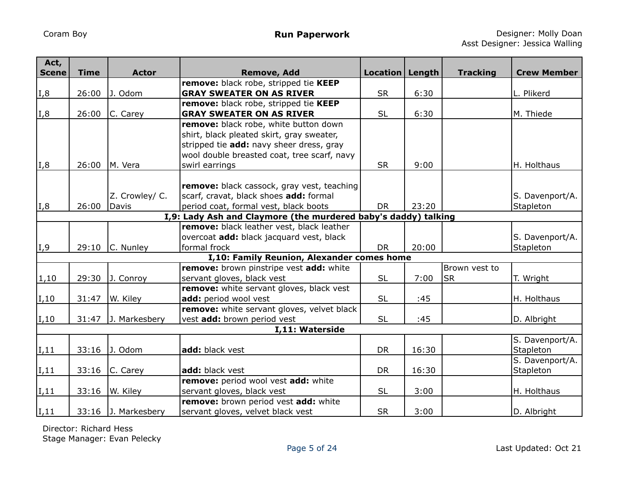| Act,<br><b>Scene</b> | <b>Time</b>                                                    | <b>Actor</b>            | <b>Remove, Add</b>                                                                                                                                                                              | Location   Length |       | <b>Tracking</b> | <b>Crew Member</b>           |  |  |  |  |
|----------------------|----------------------------------------------------------------|-------------------------|-------------------------------------------------------------------------------------------------------------------------------------------------------------------------------------------------|-------------------|-------|-----------------|------------------------------|--|--|--|--|
|                      |                                                                |                         | remove: black robe, stripped tie KEEP                                                                                                                                                           |                   |       |                 |                              |  |  |  |  |
| I,8                  | 26:00                                                          | J. Odom                 | <b>GRAY SWEATER ON AS RIVER</b>                                                                                                                                                                 | <b>SR</b>         | 6:30  |                 | L. Plikerd                   |  |  |  |  |
|                      |                                                                |                         | remove: black robe, stripped tie KEEP                                                                                                                                                           |                   |       |                 |                              |  |  |  |  |
| I,8                  | 26:00                                                          | C. Carey                | <b>GRAY SWEATER ON AS RIVER</b>                                                                                                                                                                 | <b>SL</b>         | 6:30  |                 | M. Thiede                    |  |  |  |  |
| I,8                  | 26:00                                                          | M. Vera                 | remove: black robe, white button down<br>shirt, black pleated skirt, gray sweater,<br>stripped tie add: navy sheer dress, gray<br>wool double breasted coat, tree scarf, navy<br>swirl earrings | <b>SR</b>         | 9:00  |                 | H. Holthaus                  |  |  |  |  |
|                      |                                                                |                         |                                                                                                                                                                                                 |                   |       |                 |                              |  |  |  |  |
| I,8                  | 26:00                                                          | Z. Crowley/ C.<br>Davis | remove: black cassock, gray vest, teaching<br>scarf, cravat, black shoes add: formal<br>period coat, formal vest, black boots                                                                   | <b>DR</b>         | 23:20 |                 | S. Davenport/A.<br>Stapleton |  |  |  |  |
|                      | I,9: Lady Ash and Claymore (the murdered baby's daddy) talking |                         |                                                                                                                                                                                                 |                   |       |                 |                              |  |  |  |  |
|                      |                                                                |                         | remove: black leather vest, black leather                                                                                                                                                       |                   |       |                 |                              |  |  |  |  |
| I, 9                 | 29:10                                                          | C. Nunley               | overcoat add: black jacquard vest, black<br>formal frock                                                                                                                                        | <b>DR</b>         | 20:00 |                 | S. Davenport/A.<br>Stapleton |  |  |  |  |
|                      |                                                                |                         | I,10: Family Reunion, Alexander comes home                                                                                                                                                      |                   |       |                 |                              |  |  |  |  |
|                      |                                                                |                         | remove: brown pinstripe vest add: white                                                                                                                                                         |                   |       | Brown vest to   |                              |  |  |  |  |
| 1,10                 | 29:30                                                          | J. Conroy               | servant gloves, black vest                                                                                                                                                                      | <b>SL</b>         | 7:00  | <b>SR</b>       | T. Wright                    |  |  |  |  |
| $ I,10\rangle$       | 31:47                                                          | W. Kiley                | remove: white servant gloves, black vest<br>add: period wool vest                                                                                                                               | <b>SL</b>         | :45   |                 | H. Holthaus                  |  |  |  |  |
|                      |                                                                |                         | remove: white servant gloves, velvet black                                                                                                                                                      |                   |       |                 |                              |  |  |  |  |
| $ I,10\rangle$       | 31:47                                                          | J. Markesbery           | vest add: brown period vest                                                                                                                                                                     | <b>SL</b>         | :45   |                 | D. Albright                  |  |  |  |  |
|                      |                                                                |                         | I,11: Waterside                                                                                                                                                                                 |                   |       |                 |                              |  |  |  |  |
| I,11                 | 33:16                                                          | J. Odom                 | add: black vest                                                                                                                                                                                 | <b>DR</b>         | 16:30 |                 | S. Davenport/A.<br>Stapleton |  |  |  |  |
|                      |                                                                |                         |                                                                                                                                                                                                 |                   |       |                 | S. Davenport/A.              |  |  |  |  |
| I,11                 | 33:16                                                          | C. Carey                | add: black vest                                                                                                                                                                                 | <b>DR</b>         | 16:30 |                 | Stapleton                    |  |  |  |  |
|                      |                                                                |                         | remove: period wool vest add: white                                                                                                                                                             |                   |       |                 |                              |  |  |  |  |
| I,11                 | 33:16                                                          | W. Kiley                | servant gloves, black vest                                                                                                                                                                      | <b>SL</b>         | 3:00  |                 | H. Holthaus                  |  |  |  |  |
|                      |                                                                |                         | remove: brown period vest add: white                                                                                                                                                            |                   |       |                 |                              |  |  |  |  |
| I,11                 | 33:16                                                          | J. Markesbery           | servant gloves, velvet black vest                                                                                                                                                               | <b>SR</b>         | 3:00  |                 | D. Albright                  |  |  |  |  |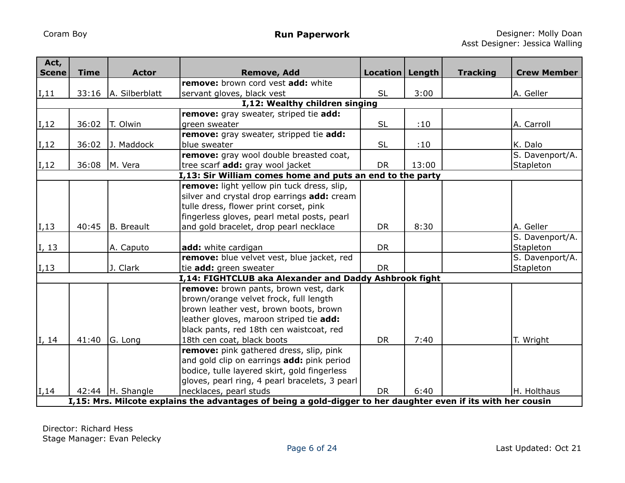| Act,<br><b>Scene</b> | <b>Time</b> | <b>Actor</b>        | <b>Remove, Add</b>                                                                                            | Location   Length |       | <b>Tracking</b> | <b>Crew Member</b> |
|----------------------|-------------|---------------------|---------------------------------------------------------------------------------------------------------------|-------------------|-------|-----------------|--------------------|
|                      |             |                     | remove: brown cord vest add: white                                                                            |                   |       |                 |                    |
| $\vert$ I,11         | 33:16       | A. Silberblatt      | servant gloves, black vest                                                                                    | <b>SL</b>         | 3:00  |                 | A. Geller          |
|                      |             |                     | I,12: Wealthy children singing                                                                                |                   |       |                 |                    |
|                      |             |                     | remove: gray sweater, striped tie add:                                                                        |                   |       |                 |                    |
| $\vert$ I,12         | 36:02       | T. Olwin            | green sweater                                                                                                 | <b>SL</b>         | :10   |                 | A. Carroll         |
|                      |             |                     | remove: gray sweater, stripped tie add:                                                                       |                   |       |                 |                    |
| $\vert$ I,12         | 36:02       | J. Maddock          | blue sweater                                                                                                  | <b>SL</b>         | :10   |                 | K. Dalo            |
|                      |             |                     | remove: gray wool double breasted coat,                                                                       |                   |       |                 | S. Davenport/A.    |
| $\vert$ I,12         | 36:08       | M. Vera             | tree scarf add: gray wool jacket                                                                              | <b>DR</b>         | 13:00 |                 | Stapleton          |
|                      |             |                     | I,13: Sir William comes home and puts an end to the party                                                     |                   |       |                 |                    |
|                      |             |                     | remove: light yellow pin tuck dress, slip,                                                                    |                   |       |                 |                    |
|                      |             |                     | silver and crystal drop earrings add: cream                                                                   |                   |       |                 |                    |
|                      |             |                     | tulle dress, flower print corset, pink                                                                        |                   |       |                 |                    |
|                      |             |                     | fingerless gloves, pearl metal posts, pearl                                                                   |                   |       |                 |                    |
| I,13                 | 40:45       | B. Breault          | and gold bracelet, drop pearl necklace                                                                        | <b>DR</b>         | 8:30  |                 | A. Geller          |
|                      |             |                     |                                                                                                               |                   |       |                 | S. Davenport/A.    |
| I, 13                |             | A. Caputo           | add: white cardigan                                                                                           | <b>DR</b>         |       |                 | Stapleton          |
|                      |             |                     | remove: blue velvet vest, blue jacket, red                                                                    |                   |       |                 | S. Davenport/A.    |
| $\vert$ I,13         |             | J. Clark            | tie add: green sweater                                                                                        | <b>DR</b>         |       |                 | Stapleton          |
|                      |             |                     | I,14: FIGHTCLUB aka Alexander and Daddy Ashbrook fight                                                        |                   |       |                 |                    |
|                      |             |                     | remove: brown pants, brown vest, dark                                                                         |                   |       |                 |                    |
|                      |             |                     | brown/orange velvet frock, full length                                                                        |                   |       |                 |                    |
|                      |             |                     | brown leather vest, brown boots, brown                                                                        |                   |       |                 |                    |
|                      |             |                     | leather gloves, maroon striped tie add:                                                                       |                   |       |                 |                    |
|                      |             |                     | black pants, red 18th cen waistcoat, red                                                                      |                   |       |                 |                    |
| I, 14                | 41:40       | G. Long             | 18th cen coat, black boots                                                                                    | <b>DR</b>         | 7:40  |                 | T. Wright          |
|                      |             |                     | remove: pink gathered dress, slip, pink                                                                       |                   |       |                 |                    |
|                      |             |                     | and gold clip on earrings add: pink period                                                                    |                   |       |                 |                    |
|                      |             |                     | bodice, tulle layered skirt, gold fingerless                                                                  |                   |       |                 |                    |
|                      |             |                     | gloves, pearl ring, 4 pearl bracelets, 3 pearl                                                                |                   |       |                 |                    |
| I, 14                |             | 42:44 $ H.$ Shangle | necklaces, pearl studs                                                                                        | <b>DR</b>         | 6:40  |                 | H. Holthaus        |
|                      |             |                     | I,15: Mrs. Milcote explains the advantages of being a gold-digger to her daughter even if its with her cousin |                   |       |                 |                    |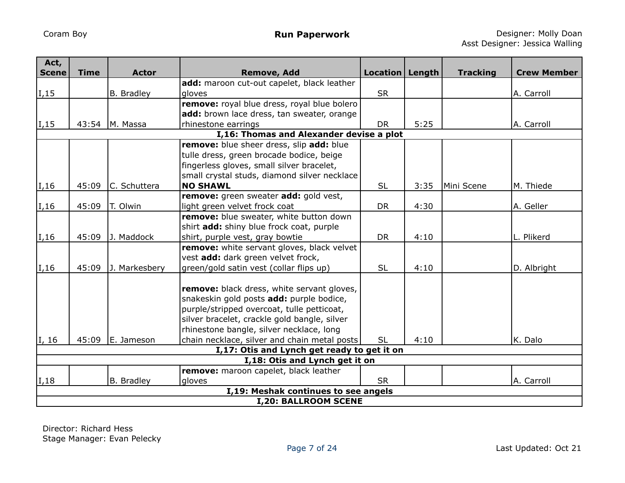| Act,<br><b>Scene</b> | <b>Time</b>                              | <b>Actor</b>      | <b>Remove, Add</b>                                                       | Location   Length |      | <b>Tracking</b> | <b>Crew Member</b> |  |  |  |
|----------------------|------------------------------------------|-------------------|--------------------------------------------------------------------------|-------------------|------|-----------------|--------------------|--|--|--|
|                      |                                          |                   | add: maroon cut-out capelet, black leather                               |                   |      |                 |                    |  |  |  |
| $\vert$ I,15         |                                          | <b>B.</b> Bradley | gloves                                                                   | <b>SR</b>         |      |                 | A. Carroll         |  |  |  |
|                      |                                          |                   | remove: royal blue dress, royal blue bolero                              |                   |      |                 |                    |  |  |  |
|                      |                                          |                   | add: brown lace dress, tan sweater, orange                               |                   |      |                 |                    |  |  |  |
| $\vert$ I,15         | 43:54                                    | M. Massa          | rhinestone earrings                                                      | <b>DR</b>         | 5:25 |                 | A. Carroll         |  |  |  |
|                      | I,16: Thomas and Alexander devise a plot |                   |                                                                          |                   |      |                 |                    |  |  |  |
|                      |                                          |                   | remove: blue sheer dress, slip add: blue                                 |                   |      |                 |                    |  |  |  |
|                      |                                          |                   | tulle dress, green brocade bodice, beige                                 |                   |      |                 |                    |  |  |  |
|                      |                                          |                   | fingerless gloves, small silver bracelet,                                |                   |      |                 |                    |  |  |  |
|                      |                                          |                   | small crystal studs, diamond silver necklace                             |                   |      |                 |                    |  |  |  |
| $\vert$ I,16         | 45:09                                    | C. Schuttera      | <b>NO SHAWL</b>                                                          | <b>SL</b>         | 3:35 | Mini Scene      | M. Thiede          |  |  |  |
|                      |                                          |                   | remove: green sweater add: gold vest,                                    | <b>DR</b>         |      |                 |                    |  |  |  |
| $\vert$ I,16         | 45:09                                    | T. Olwin          | light green velvet frock coat<br>remove: blue sweater, white button down |                   | 4:30 |                 | A. Geller          |  |  |  |
|                      |                                          |                   | shirt add: shiny blue frock coat, purple                                 |                   |      |                 |                    |  |  |  |
| $\vert$ I,16         | 45:09                                    | J. Maddock        | shirt, purple vest, gray bowtie                                          | <b>DR</b>         | 4:10 |                 | L. Plikerd         |  |  |  |
|                      |                                          |                   | remove: white servant gloves, black velvet                               |                   |      |                 |                    |  |  |  |
|                      |                                          |                   | vest add: dark green velvet frock,                                       |                   |      |                 |                    |  |  |  |
| I, 16                | 45:09                                    | J. Markesbery     | green/gold satin vest (collar flips up)                                  | <b>SL</b>         | 4:10 |                 | D. Albright        |  |  |  |
|                      |                                          |                   |                                                                          |                   |      |                 |                    |  |  |  |
|                      |                                          |                   | remove: black dress, white servant gloves,                               |                   |      |                 |                    |  |  |  |
|                      |                                          |                   | snakeskin gold posts add: purple bodice,                                 |                   |      |                 |                    |  |  |  |
|                      |                                          |                   | purple/stripped overcoat, tulle petticoat,                               |                   |      |                 |                    |  |  |  |
|                      |                                          |                   | silver bracelet, crackle gold bangle, silver                             |                   |      |                 |                    |  |  |  |
|                      |                                          |                   | rhinestone bangle, silver necklace, long                                 |                   |      |                 |                    |  |  |  |
| I, 16                | 45:09                                    | E. Jameson        | chain necklace, silver and chain metal posts                             | <b>SL</b>         | 4:10 |                 | K. Dalo            |  |  |  |
|                      |                                          |                   | I,17: Otis and Lynch get ready to get it on                              |                   |      |                 |                    |  |  |  |
|                      |                                          |                   | I,18: Otis and Lynch get it on                                           |                   |      |                 |                    |  |  |  |
|                      |                                          |                   | remove: maroon capelet, black leather                                    |                   |      |                 |                    |  |  |  |
| I,18                 |                                          | B. Bradley        | gloves                                                                   | <b>SR</b>         |      |                 | A. Carroll         |  |  |  |
|                      |                                          |                   | I,19: Meshak continues to see angels                                     |                   |      |                 |                    |  |  |  |
|                      |                                          |                   | <b>I,20: BALLROOM SCENE</b>                                              |                   |      |                 |                    |  |  |  |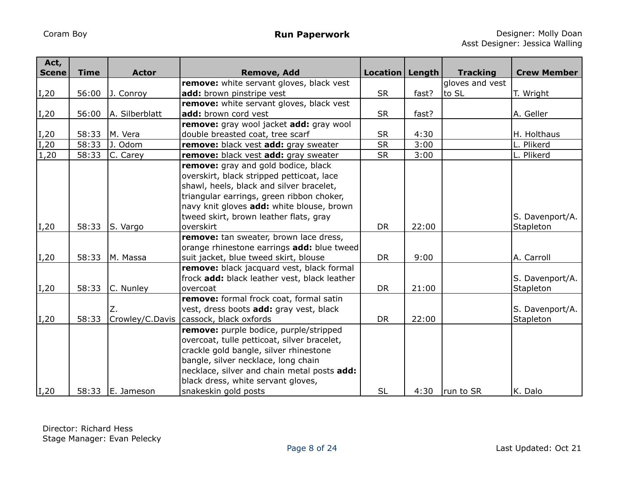| Act,<br><b>Scene</b> | <b>Time</b> | <b>Actor</b>          | <b>Remove, Add</b>                                                                                                                                                                                                                                                                  | Location   Length |       | <b>Tracking</b> | <b>Crew Member</b>           |
|----------------------|-------------|-----------------------|-------------------------------------------------------------------------------------------------------------------------------------------------------------------------------------------------------------------------------------------------------------------------------------|-------------------|-------|-----------------|------------------------------|
|                      |             |                       | remove: white servant gloves, black vest                                                                                                                                                                                                                                            |                   |       | gloves and vest |                              |
| $\vert$ I,20         | 56:00       | J. Conroy             | add: brown pinstripe vest                                                                                                                                                                                                                                                           | <b>SR</b>         | fast? | to SL           | T. Wright                    |
|                      |             |                       | remove: white servant gloves, black vest                                                                                                                                                                                                                                            |                   |       |                 |                              |
| $\vert$ I,20         | 56:00       | A. Silberblatt        | add: brown cord vest                                                                                                                                                                                                                                                                | <b>SR</b>         | fast? |                 | A. Geller                    |
|                      |             |                       | remove: gray wool jacket add: gray wool                                                                                                                                                                                                                                             |                   |       |                 |                              |
| $ I,20\rangle$       | 58:33       | M. Vera               | double breasted coat, tree scarf                                                                                                                                                                                                                                                    | <b>SR</b>         | 4:30  |                 | H. Holthaus                  |
| $\vert$ I,20         | 58:33       | J. Odom               | remove: black vest add: gray sweater                                                                                                                                                                                                                                                | SR                | 3:00  |                 | L. Plikerd                   |
| 1,20                 | 58:33       | C. Carey              | remove: black vest add: gray sweater                                                                                                                                                                                                                                                | <b>SR</b>         | 3:00  |                 | L. Plikerd                   |
| $\vert$ I,20         | 58:33       | S. Vargo              | remove: gray and gold bodice, black<br>overskirt, black stripped petticoat, lace<br>shawl, heels, black and silver bracelet,<br>triangular earrings, green ribbon choker,<br>navy knit gloves add: white blouse, brown<br>tweed skirt, brown leather flats, gray<br>overskirt       | <b>DR</b>         | 22:00 |                 | S. Davenport/A.<br>Stapleton |
|                      |             |                       | remove: tan sweater, brown lace dress,                                                                                                                                                                                                                                              |                   |       |                 |                              |
| $\vert$ I,20         | 58:33       | M. Massa              | orange rhinestone earrings add: blue tweed<br>suit jacket, blue tweed skirt, blouse                                                                                                                                                                                                 | <b>DR</b>         | 9:00  |                 | A. Carroll                   |
| $\vert$ I,20         | 58:33       | C. Nunley             | remove: black jacquard vest, black formal<br>frock add: black leather vest, black leather<br>overcoat                                                                                                                                                                               | <b>DR</b>         | 21:00 |                 | S. Davenport/A.<br>Stapleton |
| $\vert$ I,20         | 58:33       | Z.<br>Crowley/C.Davis | remove: formal frock coat, formal satin<br>vest, dress boots add: gray vest, black<br>cassock, black oxfords                                                                                                                                                                        | <b>DR</b>         | 22:00 |                 | S. Davenport/A.<br>Stapleton |
| $ I,20\rangle$       | 58:33       | E. Jameson            | remove: purple bodice, purple/stripped<br>overcoat, tulle petticoat, silver bracelet,<br>crackle gold bangle, silver rhinestone<br>bangle, silver necklace, long chain<br>necklace, silver and chain metal posts add:<br>black dress, white servant gloves,<br>snakeskin gold posts | <b>SL</b>         | 4:30  | run to SR       | K. Dalo                      |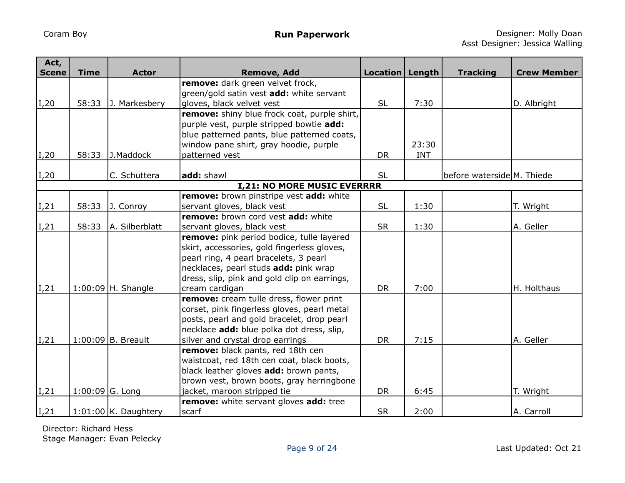| Act,<br><b>Scene</b> | <b>Time</b> | <b>Actor</b>           |                                                        | Location   Length |            |                            | <b>Crew Member</b> |
|----------------------|-------------|------------------------|--------------------------------------------------------|-------------------|------------|----------------------------|--------------------|
|                      |             |                        | <b>Remove, Add</b><br>remove: dark green velvet frock, |                   |            | <b>Tracking</b>            |                    |
|                      |             |                        | green/gold satin vest add: white servant               |                   |            |                            |                    |
| I,20                 | 58:33       | J. Markesbery          | gloves, black velvet vest                              | <b>SL</b>         | 7:30       |                            | D. Albright        |
|                      |             |                        | remove: shiny blue frock coat, purple shirt,           |                   |            |                            |                    |
|                      |             |                        | purple vest, purple stripped bowtie add:               |                   |            |                            |                    |
|                      |             |                        |                                                        |                   |            |                            |                    |
|                      |             |                        | blue patterned pants, blue patterned coats,            |                   |            |                            |                    |
|                      |             |                        | window pane shirt, gray hoodie, purple                 |                   | 23:30      |                            |                    |
| I,20                 | 58:33       | J.Maddock              | patterned vest                                         | <b>DR</b>         | <b>INT</b> |                            |                    |
|                      |             |                        |                                                        |                   |            |                            |                    |
| I,20                 |             | C. Schuttera           | add: shawl                                             | <b>SL</b>         |            | before waterside M. Thiede |                    |
|                      |             |                        | <b>I,21: NO MORE MUSIC EVERRRR</b>                     |                   |            |                            |                    |
|                      |             |                        | remove: brown pinstripe vest add: white                |                   |            |                            |                    |
| I,21                 | 58:33       | J. Conroy              | servant gloves, black vest                             | <b>SL</b>         | 1:30       |                            | T. Wright          |
|                      |             |                        | remove: brown cord vest add: white                     |                   |            |                            |                    |
| I, 21                | 58:33       | A. Silberblatt         | servant gloves, black vest                             | <b>SR</b>         | 1:30       |                            | A. Geller          |
|                      |             |                        | remove: pink period bodice, tulle layered              |                   |            |                            |                    |
|                      |             |                        | skirt, accessories, gold fingerless gloves,            |                   |            |                            |                    |
|                      |             |                        | pearl ring, 4 pearl bracelets, 3 pearl                 |                   |            |                            |                    |
|                      |             |                        | necklaces, pearl studs add: pink wrap                  |                   |            |                            |                    |
|                      |             |                        | dress, slip, pink and gold clip on earrings,           |                   |            |                            |                    |
| I,21                 |             | $1:00:09$  H. Shangle  | cream cardigan                                         | <b>DR</b>         | 7:00       |                            | H. Holthaus        |
|                      |             |                        | remove: cream tulle dress, flower print                |                   |            |                            |                    |
|                      |             |                        | corset, pink fingerless gloves, pearl metal            |                   |            |                            |                    |
|                      |             |                        | posts, pearl and gold bracelet, drop pearl             |                   |            |                            |                    |
|                      |             |                        | necklace add: blue polka dot dress, slip,              |                   |            |                            |                    |
| I,21                 |             | $1:00:09$ B. Breault   | silver and crystal drop earrings                       | <b>DR</b>         | 7:15       |                            | A. Geller          |
|                      |             |                        | remove: black pants, red 18th cen                      |                   |            |                            |                    |
|                      |             |                        | waistcoat, red 18th cen coat, black boots,             |                   |            |                            |                    |
|                      |             |                        | black leather gloves add: brown pants,                 |                   |            |                            |                    |
|                      |             |                        | brown vest, brown boots, gray herringbone              |                   |            |                            |                    |
| I, 21                |             | $1:00:09$ G. Long      | jacket, maroon stripped tie                            | <b>DR</b>         | 6:45       |                            | T. Wright          |
|                      |             |                        | remove: white servant gloves add: tree                 |                   |            |                            |                    |
| I,21                 |             | $1:01:00$ K. Daughtery | scarf                                                  | <b>SR</b>         | 2:00       |                            | A. Carroll         |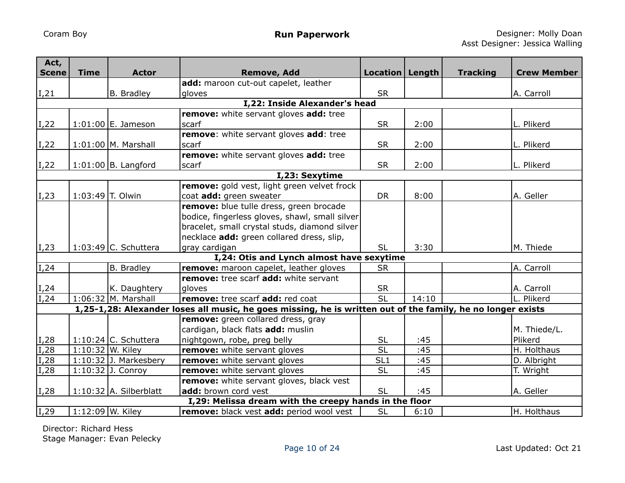| Act,         |                  |                          |                                                                                                             |                   |       |                 |                    |  |  |  |
|--------------|------------------|--------------------------|-------------------------------------------------------------------------------------------------------------|-------------------|-------|-----------------|--------------------|--|--|--|
| <b>Scene</b> | <b>Time</b>      | <b>Actor</b>             | <b>Remove, Add</b><br>add: maroon cut-out capelet, leather                                                  | Location   Length |       | <b>Tracking</b> | <b>Crew Member</b> |  |  |  |
| I, 21        |                  | B. Bradley               | gloves                                                                                                      | <b>SR</b>         |       |                 | A. Carroll         |  |  |  |
|              |                  |                          | I,22: Inside Alexander's head                                                                               |                   |       |                 |                    |  |  |  |
|              |                  |                          | remove: white servant gloves add: tree                                                                      |                   |       |                 |                    |  |  |  |
| I,22         |                  | $1:01:00$ E. Jameson     | scarf                                                                                                       | <b>SR</b>         | 2:00  |                 | L. Plikerd         |  |  |  |
|              |                  |                          | remove: white servant gloves add: tree                                                                      |                   |       |                 |                    |  |  |  |
| I,22         |                  | $1:01:00$ M. Marshall    | <b>scarf</b>                                                                                                | <b>SR</b>         | 2:00  |                 | L. Plikerd         |  |  |  |
|              |                  |                          | remove: white servant gloves add: tree                                                                      |                   |       |                 |                    |  |  |  |
| I,22         |                  | $1:01:00$ B. Langford    | scarf                                                                                                       | <b>SR</b>         | 2:00  |                 | L. Plikerd         |  |  |  |
|              | I,23: Sexytime   |                          |                                                                                                             |                   |       |                 |                    |  |  |  |
|              |                  |                          | remove: gold vest, light green velvet frock                                                                 |                   |       |                 |                    |  |  |  |
| $\vert$ I,23 |                  | 1:03:49 T. Olwin         | coat add: green sweater                                                                                     | <b>DR</b>         | 8:00  |                 | A. Geller          |  |  |  |
|              |                  |                          | remove: blue tulle dress, green brocade                                                                     |                   |       |                 |                    |  |  |  |
|              |                  |                          | bodice, fingerless gloves, shawl, small silver                                                              |                   |       |                 |                    |  |  |  |
|              |                  |                          | bracelet, small crystal studs, diamond silver                                                               |                   |       |                 |                    |  |  |  |
|              |                  |                          | necklace add: green collared dress, slip,                                                                   |                   |       |                 |                    |  |  |  |
| I, 23        |                  | $1:03:49$ C. Schuttera   | gray cardigan                                                                                               | <b>SL</b>         | 3:30  |                 | M. Thiede          |  |  |  |
|              |                  |                          | I,24: Otis and Lynch almost have sexytime                                                                   |                   |       |                 |                    |  |  |  |
| I, 24        |                  | <b>B.</b> Bradley        | remove: maroon capelet, leather gloves                                                                      | <b>SR</b>         |       |                 | A. Carroll         |  |  |  |
|              |                  |                          | remove: tree scarf add: white servant                                                                       |                   |       |                 |                    |  |  |  |
| I, 24        |                  | K. Daughtery             | dloves                                                                                                      | <b>SR</b>         |       |                 | A. Carroll         |  |  |  |
| I, 24        |                  | $1:06:32$ M. Marshall    | remove: tree scarf add: red coat                                                                            | $\overline{SL}$   | 14:10 |                 | L. Plikerd         |  |  |  |
|              |                  |                          | 1,25-1,28: Alexander loses all music, he goes missing, he is written out of the family, he no longer exists |                   |       |                 |                    |  |  |  |
|              |                  |                          | remove: green collared dress, gray                                                                          |                   |       |                 |                    |  |  |  |
|              |                  |                          | cardigan, black flats add: muslin                                                                           |                   |       |                 | M. Thiede/L.       |  |  |  |
| I,28         |                  | 1:10:24 $C.$ Schuttera   | nightgown, robe, preg belly                                                                                 | <b>SL</b>         | :45   |                 | Plikerd            |  |  |  |
| I, 28        |                  | $1:10:32$ W. Kiley       | remove: white servant gloves                                                                                | $\overline{SL}$   | :45   |                 | H. Holthaus        |  |  |  |
| I,28         |                  | $1:10:32$ J. Markesbery  | remove: white servant gloves                                                                                | SL <sub>1</sub>   | :45   |                 | D. Albright        |  |  |  |
| I, 28        |                  | $1:10:32$ J. Conroy      | remove: white servant gloves                                                                                | <b>SL</b>         | :45   |                 | T. Wright          |  |  |  |
|              |                  |                          | remove: white servant gloves, black vest                                                                    |                   |       |                 |                    |  |  |  |
| $\vert$ I,28 |                  | $1:10:32$ A. Silberblatt | add: brown cord vest                                                                                        | <b>SL</b>         | :45   |                 | A. Geller          |  |  |  |
|              |                  |                          | I,29: Melissa dream with the creepy hands in the floor                                                      |                   |       |                 |                    |  |  |  |
| I,29         | 1:12:09 W. Kiley |                          | remove: black vest add: period wool vest                                                                    | <b>SL</b>         | 6:10  |                 | H. Holthaus        |  |  |  |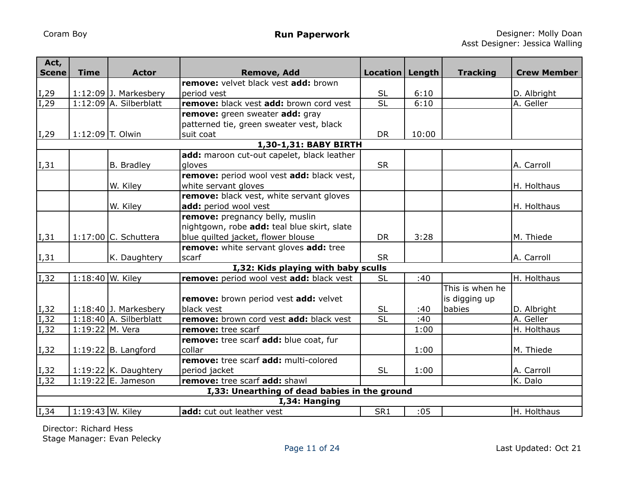| Act,<br><b>Scene</b> | <b>Time</b>        | <b>Actor</b>             | <b>Remove, Add</b>                            | Location   Length |       | <b>Tracking</b> | <b>Crew Member</b> |
|----------------------|--------------------|--------------------------|-----------------------------------------------|-------------------|-------|-----------------|--------------------|
|                      |                    |                          | remove: velvet black vest add: brown          |                   |       |                 |                    |
| I <sub>1</sub> 29    |                    | $1:12:09$ J. Markesbery  | period vest                                   | <b>SL</b>         | 6:10  |                 | D. Albright        |
| I, 29                |                    | $1:12:09$ A. Silberblatt | remove: black vest add: brown cord vest       | $\overline{SL}$   | 6:10  |                 | A. Geller          |
|                      |                    |                          | remove: green sweater add: gray               |                   |       |                 |                    |
|                      |                    |                          | patterned tie, green sweater vest, black      |                   |       |                 |                    |
| $\vert$ I,29         | $1:12:09$ T. Olwin |                          | suit coat                                     | <b>DR</b>         | 10:00 |                 |                    |
|                      |                    |                          | 1,30-1,31: BABY BIRTH                         |                   |       |                 |                    |
|                      |                    |                          | add: maroon cut-out capelet, black leather    |                   |       |                 |                    |
| I,31                 |                    | B. Bradley               | gloves                                        | <b>SR</b>         |       |                 | A. Carroll         |
|                      |                    |                          | remove: period wool vest add: black vest,     |                   |       |                 |                    |
|                      |                    | W. Kiley                 | white servant gloves                          |                   |       |                 | H. Holthaus        |
|                      |                    |                          | remove: black vest, white servant gloves      |                   |       |                 |                    |
|                      |                    | W. Kiley                 | add: period wool vest                         |                   |       |                 | H. Holthaus        |
|                      |                    |                          | remove: pregnancy belly, muslin               |                   |       |                 |                    |
|                      |                    |                          | nightgown, robe add: teal blue skirt, slate   |                   |       |                 |                    |
| I,31                 |                    | $1:17:00$ C. Schuttera   | blue quilted jacket, flower blouse            | <b>DR</b>         | 3:28  |                 | M. Thiede          |
|                      |                    |                          | remove: white servant gloves add: tree        |                   |       |                 |                    |
| I,31                 |                    | K. Daughtery             | scarf                                         | <b>SR</b>         |       |                 | A. Carroll         |
|                      |                    |                          | I,32: Kids playing with baby sculls           |                   |       |                 |                    |
| $\overline{I,32}$    | 1:18:40 W. Kiley   |                          | remove: period wool vest add: black vest      | <b>SL</b>         | :40   |                 | H. Holthaus        |
|                      |                    |                          |                                               |                   |       | This is when he |                    |
|                      |                    |                          | remove: brown period vest add: velvet         |                   |       | is digging up   |                    |
| $\vert$ I,32         |                    | $1:18:40$ J. Markesbery  | black vest                                    | <b>SL</b>         | :40   | babies          | D. Albright        |
| I,32                 |                    | $1:18:40$ A. Silberblatt | remove: brown cord vest add: black vest       | <b>SL</b>         | :40   |                 | A. Geller          |
| $\overline{I}$ , 32  | $1:19:22$ M. Vera  |                          | remove: tree scarf                            |                   | 1:00  |                 | H. Holthaus        |
|                      |                    |                          | remove: tree scarf add: blue coat, fur        |                   |       |                 |                    |
| I,32                 |                    | $1:19:22$ B. Langford    | collar                                        |                   | 1:00  |                 | M. Thiede          |
|                      |                    |                          | remove: tree scarf add: multi-colored         |                   |       |                 |                    |
| I,32                 |                    | 1:19:22 $K.$ Daughtery   | period jacket                                 | <b>SL</b>         | 1:00  |                 | A. Carroll         |
| I,32                 |                    | 1:19:22 E. Jameson       | remove: tree scarf add: shawl                 |                   |       |                 | K. Dalo            |
|                      |                    |                          | I,33: Unearthing of dead babies in the ground |                   |       |                 |                    |
|                      |                    |                          | I,34: Hanging                                 |                   |       |                 |                    |
| $\overline{I,34}$    | 1:19:43 W. Kiley   |                          | add: cut out leather vest                     | SR <sub>1</sub>   | :05   |                 | H. Holthaus        |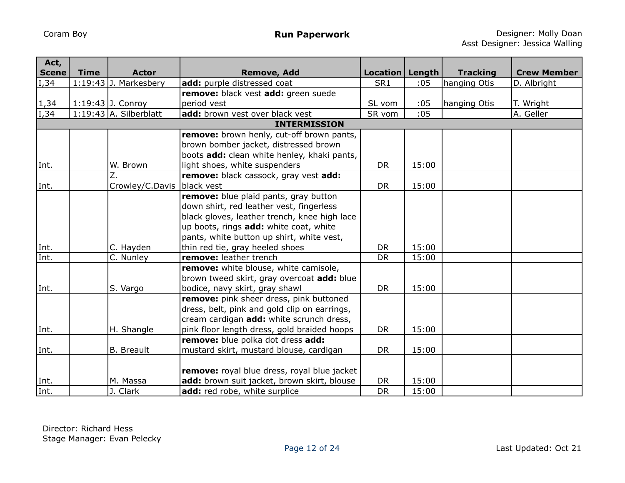| Act,         |             |                              |                                              |                   |       |                 |                    |
|--------------|-------------|------------------------------|----------------------------------------------|-------------------|-------|-----------------|--------------------|
| <b>Scene</b> | <b>Time</b> | <b>Actor</b>                 | <b>Remove, Add</b>                           | Location   Length |       | <b>Tracking</b> | <b>Crew Member</b> |
| $\vert$ I,34 |             | $1:19:43$ J. Markesbery      | add: purple distressed coat                  | SR1               | :05   | hanging Otis    | D. Albright        |
|              |             |                              | remove: black vest add: green suede          |                   |       |                 |                    |
| 1,34         |             | 1:19:43 J. Conroy            | period vest                                  | SL vom            | :05   | hanging Otis    | T. Wright          |
| I, 34        |             | $1:19:43$ A. Silberblatt     | add: brown vest over black vest              | SR vom            | :05   |                 | A. Geller          |
|              |             |                              | <b>INTERMISSION</b>                          |                   |       |                 |                    |
|              |             |                              | remove: brown henly, cut-off brown pants,    |                   |       |                 |                    |
|              |             |                              | brown bomber jacket, distressed brown        |                   |       |                 |                    |
|              |             |                              | boots add: clean white henley, khaki pants,  |                   |       |                 |                    |
| Int.         |             | W. Brown<br>$\overline{Z}$ . | light shoes, white suspenders                | <b>DR</b>         | 15:00 |                 |                    |
|              |             |                              | remove: black cassock, gray vest add:        |                   |       |                 |                    |
| Int.         |             | Crowley/C.Davis              | black vest                                   | <b>DR</b>         | 15:00 |                 |                    |
|              |             |                              | remove: blue plaid pants, gray button        |                   |       |                 |                    |
|              |             |                              | down shirt, red leather vest, fingerless     |                   |       |                 |                    |
|              |             |                              | black gloves, leather trench, knee high lace |                   |       |                 |                    |
|              |             |                              | up boots, rings add: white coat, white       |                   |       |                 |                    |
|              |             |                              | pants, white button up shirt, white vest,    |                   |       |                 |                    |
| Int.         |             | C. Hayden                    | thin red tie, gray heeled shoes              | <b>DR</b>         | 15:00 |                 |                    |
| Int.         |             | C. Nunley                    | remove: leather trench                       | <b>DR</b>         | 15:00 |                 |                    |
|              |             |                              | remove: white blouse, white camisole,        |                   |       |                 |                    |
|              |             |                              | brown tweed skirt, gray overcoat add: blue   |                   |       |                 |                    |
| Int.         |             | S. Vargo                     | bodice, navy skirt, gray shawl               | <b>DR</b>         | 15:00 |                 |                    |
|              |             |                              | remove: pink sheer dress, pink buttoned      |                   |       |                 |                    |
|              |             |                              | dress, belt, pink and gold clip on earrings, |                   |       |                 |                    |
|              |             |                              | cream cardigan add: white scrunch dress,     |                   |       |                 |                    |
| Int.         |             | H. Shangle                   | pink floor length dress, gold braided hoops  | DR                | 15:00 |                 |                    |
|              |             |                              | remove: blue polka dot dress add:            |                   |       |                 |                    |
| Int.         |             | <b>B.</b> Breault            | mustard skirt, mustard blouse, cardigan      | DR                | 15:00 |                 |                    |
|              |             |                              |                                              |                   |       |                 |                    |
|              |             |                              | remove: royal blue dress, royal blue jacket  |                   |       |                 |                    |
| Int.         |             | M. Massa                     | add: brown suit jacket, brown skirt, blouse  | <b>DR</b>         | 15:00 |                 |                    |
| Int.         |             | J. Clark                     | add: red robe, white surplice                | DR                | 15:00 |                 |                    |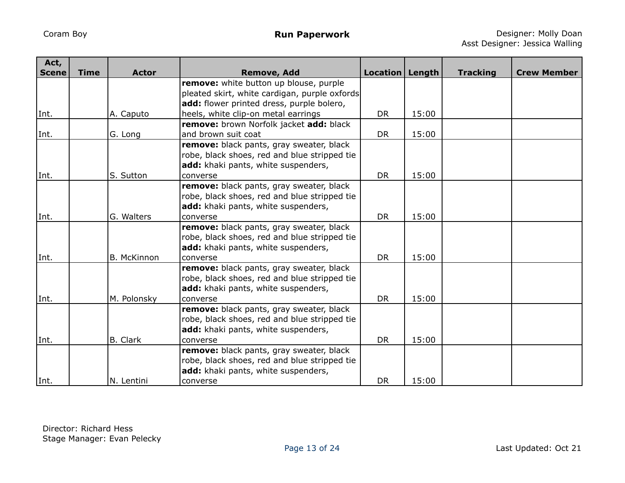| Act,         |             |                    |                                               |                   |       |                 |                    |
|--------------|-------------|--------------------|-----------------------------------------------|-------------------|-------|-----------------|--------------------|
| <b>Scene</b> | <b>Time</b> | <b>Actor</b>       | <b>Remove, Add</b>                            | Location   Length |       | <b>Tracking</b> | <b>Crew Member</b> |
|              |             |                    | remove: white button up blouse, purple        |                   |       |                 |                    |
|              |             |                    | pleated skirt, white cardigan, purple oxfords |                   |       |                 |                    |
|              |             |                    | add: flower printed dress, purple bolero,     |                   |       |                 |                    |
| Int.         |             | A. Caputo          | heels, white clip-on metal earrings           | <b>DR</b>         | 15:00 |                 |                    |
|              |             |                    | remove: brown Norfolk jacket add: black       |                   |       |                 |                    |
| Int.         |             | G. Long            | and brown suit coat                           | <b>DR</b>         | 15:00 |                 |                    |
|              |             |                    | remove: black pants, gray sweater, black      |                   |       |                 |                    |
|              |             |                    | robe, black shoes, red and blue stripped tie  |                   |       |                 |                    |
|              |             |                    | add: khaki pants, white suspenders,           |                   |       |                 |                    |
| Int.         |             | S. Sutton          | converse                                      | <b>DR</b>         | 15:00 |                 |                    |
|              |             |                    | remove: black pants, gray sweater, black      |                   |       |                 |                    |
|              |             |                    | robe, black shoes, red and blue stripped tie  |                   |       |                 |                    |
|              |             |                    | add: khaki pants, white suspenders,           |                   |       |                 |                    |
| Int.         |             | G. Walters         | converse                                      | <b>DR</b>         | 15:00 |                 |                    |
|              |             |                    | remove: black pants, gray sweater, black      |                   |       |                 |                    |
|              |             |                    | robe, black shoes, red and blue stripped tie  |                   |       |                 |                    |
|              |             |                    | add: khaki pants, white suspenders,           |                   |       |                 |                    |
| Int.         |             | <b>B. McKinnon</b> | converse                                      | <b>DR</b>         | 15:00 |                 |                    |
|              |             |                    | remove: black pants, gray sweater, black      |                   |       |                 |                    |
|              |             |                    | robe, black shoes, red and blue stripped tie  |                   |       |                 |                    |
|              |             |                    | add: khaki pants, white suspenders,           |                   |       |                 |                    |
| Int.         |             | M. Polonsky        | converse                                      | <b>DR</b>         | 15:00 |                 |                    |
|              |             |                    | remove: black pants, gray sweater, black      |                   |       |                 |                    |
|              |             |                    | robe, black shoes, red and blue stripped tie  |                   |       |                 |                    |
|              |             |                    | add: khaki pants, white suspenders,           |                   |       |                 |                    |
| Int.         |             | B. Clark           | converse                                      | <b>DR</b>         | 15:00 |                 |                    |
|              |             |                    | remove: black pants, gray sweater, black      |                   |       |                 |                    |
|              |             |                    | robe, black shoes, red and blue stripped tie  |                   |       |                 |                    |
|              |             |                    | add: khaki pants, white suspenders,           |                   |       |                 |                    |
| Int.         |             | N. Lentini         | converse                                      | <b>DR</b>         | 15:00 |                 |                    |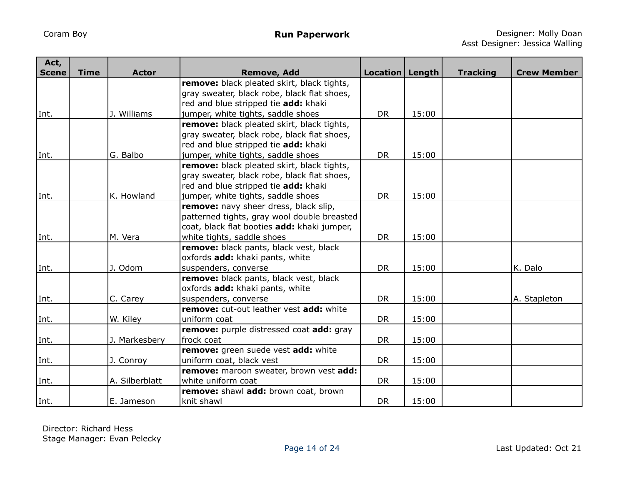| Act,         |             |                |                                                                                     |                   |       |                 |                    |
|--------------|-------------|----------------|-------------------------------------------------------------------------------------|-------------------|-------|-----------------|--------------------|
| <b>Scene</b> | <b>Time</b> | <b>Actor</b>   | <b>Remove, Add</b>                                                                  | Location   Length |       | <b>Tracking</b> | <b>Crew Member</b> |
|              |             |                | remove: black pleated skirt, black tights,                                          |                   |       |                 |                    |
|              |             |                | gray sweater, black robe, black flat shoes,                                         |                   |       |                 |                    |
|              |             | Williams       | red and blue stripped tie add: khaki                                                | <b>DR</b>         | 15:00 |                 |                    |
| Int.         |             |                | jumper, white tights, saddle shoes                                                  |                   |       |                 |                    |
|              |             |                | remove: black pleated skirt, black tights,                                          |                   |       |                 |                    |
|              |             |                | gray sweater, black robe, black flat shoes,<br>red and blue stripped tie add: khaki |                   |       |                 |                    |
| Int.         |             | G. Balbo       |                                                                                     | <b>DR</b>         | 15:00 |                 |                    |
|              |             |                | jumper, white tights, saddle shoes<br>remove: black pleated skirt, black tights,    |                   |       |                 |                    |
|              |             |                | gray sweater, black robe, black flat shoes,                                         |                   |       |                 |                    |
|              |             |                | red and blue stripped tie add: khaki                                                |                   |       |                 |                    |
| Int.         |             | K. Howland     | jumper, white tights, saddle shoes                                                  | <b>DR</b>         | 15:00 |                 |                    |
|              |             |                | remove: navy sheer dress, black slip,                                               |                   |       |                 |                    |
|              |             |                | patterned tights, gray wool double breasted                                         |                   |       |                 |                    |
|              |             |                | coat, black flat booties add: khaki jumper,                                         |                   |       |                 |                    |
| Int.         |             | M. Vera        | white tights, saddle shoes                                                          | <b>DR</b>         | 15:00 |                 |                    |
|              |             |                | remove: black pants, black vest, black                                              |                   |       |                 |                    |
|              |             |                | oxfords add: khaki pants, white                                                     |                   |       |                 |                    |
| Int.         |             | J. Odom        | suspenders, converse                                                                | <b>DR</b>         | 15:00 |                 | K. Dalo            |
|              |             |                | remove: black pants, black vest, black                                              |                   |       |                 |                    |
|              |             |                | oxfords add: khaki pants, white                                                     |                   |       |                 |                    |
| Int.         |             | C. Carey       | suspenders, converse                                                                | <b>DR</b>         | 15:00 |                 | A. Stapleton       |
|              |             |                | remove: cut-out leather vest add: white                                             |                   |       |                 |                    |
| Int.         |             | W. Kiley       | uniform coat                                                                        | <b>DR</b>         | 15:00 |                 |                    |
|              |             |                | remove: purple distressed coat add: gray                                            |                   |       |                 |                    |
| Int.         |             | J. Markesbery  | frock coat                                                                          | <b>DR</b>         | 15:00 |                 |                    |
|              |             |                | remove: green suede vest add: white                                                 |                   |       |                 |                    |
| Int.         |             | J. Conroy      | uniform coat, black vest                                                            | <b>DR</b>         | 15:00 |                 |                    |
|              |             |                | remove: maroon sweater, brown vest add:                                             |                   |       |                 |                    |
| Int.         |             | A. Silberblatt | white uniform coat                                                                  | <b>DR</b>         | 15:00 |                 |                    |
|              |             |                | remove: shawl add: brown coat, brown                                                |                   |       |                 |                    |
| Int.         |             | E. Jameson     | knit shawl                                                                          | <b>DR</b>         | 15:00 |                 |                    |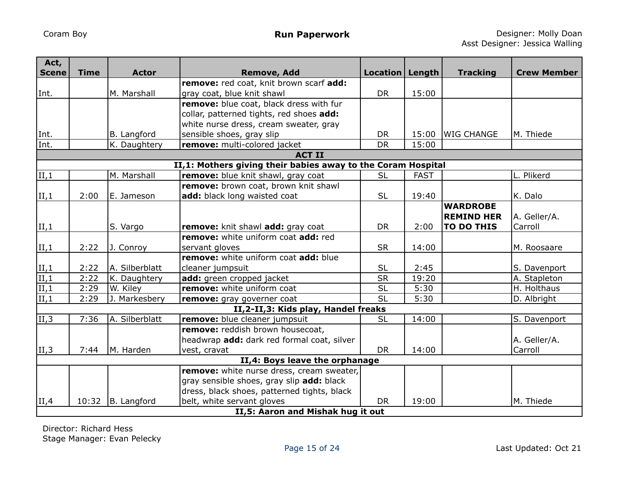| Act,<br><b>Scene</b> | <b>Time</b>                       | <b>Actor</b>   | <b>Remove, Add</b>                                           | Location   Length |             | <b>Tracking</b>   | <b>Crew Member</b> |  |  |
|----------------------|-----------------------------------|----------------|--------------------------------------------------------------|-------------------|-------------|-------------------|--------------------|--|--|
|                      |                                   |                | remove: red coat, knit brown scarf add:                      |                   |             |                   |                    |  |  |
| Int.                 |                                   | M. Marshall    | gray coat, blue knit shawl                                   | <b>DR</b>         | 15:00       |                   |                    |  |  |
|                      |                                   |                | remove: blue coat, black dress with fur                      |                   |             |                   |                    |  |  |
|                      |                                   |                | collar, patterned tights, red shoes add:                     |                   |             |                   |                    |  |  |
|                      |                                   |                | white nurse dress, cream sweater, gray                       |                   |             |                   |                    |  |  |
| Int.                 |                                   | B. Langford    | sensible shoes, gray slip                                    | <b>DR</b>         | 15:00       | <b>WIG CHANGE</b> | M. Thiede          |  |  |
| Int.                 |                                   | K. Daughtery   | remove: multi-colored jacket                                 | <b>DR</b>         | 15:00       |                   |                    |  |  |
|                      |                                   |                | <b>ACT II</b>                                                |                   |             |                   |                    |  |  |
|                      |                                   |                | II,1: Mothers giving their babies away to the Coram Hospital |                   |             |                   |                    |  |  |
| $\vert$ II,1         |                                   | M. Marshall    | remove: blue knit shawl, gray coat                           | <b>SL</b>         | <b>FAST</b> |                   | L. Plikerd         |  |  |
|                      |                                   |                | remove: brown coat, brown knit shawl                         |                   |             |                   |                    |  |  |
| II,1                 | 2:00                              | E. Jameson     | add: black long waisted coat                                 | <b>SL</b>         | 19:40       |                   | K. Dalo            |  |  |
|                      |                                   |                |                                                              |                   |             | <b>WARDROBE</b>   |                    |  |  |
|                      |                                   |                |                                                              |                   |             | <b>REMIND HER</b> | A. Geller/A.       |  |  |
| II,1                 |                                   | S. Vargo       | remove: knit shawl add: gray coat                            | <b>DR</b>         | 2:00        | <b>TO DO THIS</b> | Carroll            |  |  |
|                      |                                   |                | remove: white uniform coat add: red                          |                   |             |                   |                    |  |  |
| II,1                 | 2:22                              | J. Conroy      | servant gloves                                               | <b>SR</b>         | 14:00       |                   | M. Roosaare        |  |  |
|                      |                                   |                | remove: white uniform coat add: blue                         |                   |             |                   |                    |  |  |
| II,1                 | 2:22                              | A. Silberblatt | cleaner jumpsuit                                             | <b>SL</b>         | 2:45        |                   | S. Davenport       |  |  |
| II, 1                | 2:22                              | K. Daughtery   | add: green cropped jacket                                    | <b>SR</b>         | 19:20       |                   | A. Stapleton       |  |  |
| II, 1                | 2:29                              | W. Kiley       | remove: white uniform coat                                   | <b>SL</b>         | 5:30        |                   | H. Holthaus        |  |  |
| $\vert$ II,1         | 2:29                              | J. Markesbery  | remove: gray governer coat                                   | <b>SL</b>         | 5:30        |                   | D. Albright        |  |  |
|                      |                                   |                | II, 2-II, 3: Kids play, Handel freaks                        |                   |             |                   |                    |  |  |
| $\vert$ II,3         | 7:36                              | A. Silberblatt | remove: blue cleaner jumpsuit                                | <b>SL</b>         | 14:00       |                   | S. Davenport       |  |  |
|                      |                                   |                | remove: reddish brown housecoat,                             |                   |             |                   |                    |  |  |
|                      |                                   |                | headwrap add: dark red formal coat, silver                   |                   |             |                   | A. Geller/A.       |  |  |
| $\vert$ II,3         | 7:44                              | M. Harden      | vest, cravat                                                 | <b>DR</b>         | 14:00       |                   | Carroll            |  |  |
|                      |                                   |                | II,4: Boys leave the orphanage                               |                   |             |                   |                    |  |  |
|                      |                                   |                | remove: white nurse dress, cream sweater,                    |                   |             |                   |                    |  |  |
|                      |                                   |                | gray sensible shoes, gray slip add: black                    |                   |             |                   |                    |  |  |
|                      |                                   |                | dress, black shoes, patterned tights, black                  |                   |             |                   |                    |  |  |
| II, 4                | 10:32                             | B. Langford    | belt, white servant gloves                                   | <b>DR</b>         | 19:00       |                   | M. Thiede          |  |  |
|                      | II,5: Aaron and Mishak hug it out |                |                                                              |                   |             |                   |                    |  |  |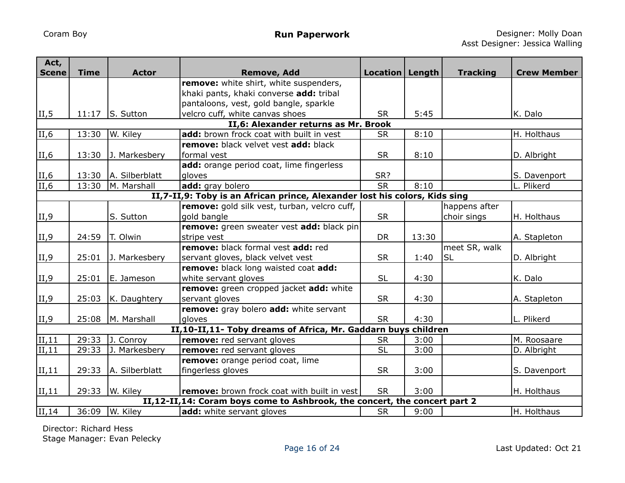| Act,<br><b>Scene</b>             | <b>Time</b>                                                                | <b>Actor</b>   | <b>Remove, Add</b>                                                        | Location   Length |       | <b>Tracking</b> | <b>Crew Member</b> |  |  |
|----------------------------------|----------------------------------------------------------------------------|----------------|---------------------------------------------------------------------------|-------------------|-------|-----------------|--------------------|--|--|
|                                  |                                                                            |                | remove: white shirt, white suspenders,                                    |                   |       |                 |                    |  |  |
|                                  |                                                                            |                | khaki pants, khaki converse add: tribal                                   |                   |       |                 |                    |  |  |
|                                  |                                                                            |                | pantaloons, vest, gold bangle, sparkle                                    |                   |       |                 |                    |  |  |
| II, 5                            | 11:17                                                                      | S. Sutton      | velcro cuff, white canvas shoes                                           | <b>SR</b>         | 5:45  |                 | K. Dalo            |  |  |
|                                  |                                                                            |                | II,6: Alexander returns as Mr. Brook                                      |                   |       |                 |                    |  |  |
| II,6                             | 13:30                                                                      | W. Kiley       | add: brown frock coat with built in vest                                  | <b>SR</b>         | 8:10  |                 | H. Holthaus        |  |  |
|                                  |                                                                            |                | remove: black velvet vest add: black                                      |                   |       |                 |                    |  |  |
| II,6                             | 13:30                                                                      | J. Markesbery  | formal vest                                                               | <b>SR</b>         | 8:10  |                 | D. Albright        |  |  |
|                                  |                                                                            |                | add: orange period coat, lime fingerless                                  |                   |       |                 |                    |  |  |
| II,6                             | 13:30                                                                      | A. Silberblatt | gloves                                                                    | SR?               |       |                 | S. Davenport       |  |  |
| $\overline{\text{II},6}$         | 13:30                                                                      | M. Marshall    | add: gray bolero                                                          | <b>SR</b>         | 8:10  |                 | L. Plikerd         |  |  |
|                                  | II,7-II,9: Toby is an African prince, Alexander lost his colors, Kids sing |                |                                                                           |                   |       |                 |                    |  |  |
|                                  |                                                                            |                | remove: gold silk vest, turban, velcro cuff,                              |                   |       | happens after   |                    |  |  |
| II,9                             |                                                                            | S. Sutton      | gold bangle                                                               | <b>SR</b>         |       | choir sings     | H. Holthaus        |  |  |
|                                  |                                                                            |                | remove: green sweater vest add: black pin                                 |                   |       |                 |                    |  |  |
| II, 9                            | 24:59                                                                      | T. Olwin       | stripe vest                                                               | <b>DR</b>         | 13:30 |                 | A. Stapleton       |  |  |
|                                  |                                                                            |                | remove: black formal vest add: red                                        |                   |       | meet SR, walk   |                    |  |  |
| II,9                             | 25:01                                                                      | J. Markesbery  | servant gloves, black velvet vest                                         | <b>SR</b>         | 1:40  | <b>SL</b>       | D. Albright        |  |  |
|                                  |                                                                            |                | remove: black long waisted coat add:                                      |                   |       |                 |                    |  |  |
| II,9                             | 25:01                                                                      | E. Jameson     | white servant gloves                                                      | <b>SL</b>         | 4:30  |                 | K. Dalo            |  |  |
|                                  |                                                                            |                | remove: green cropped jacket add: white                                   |                   |       |                 |                    |  |  |
| II,9                             | 25:03                                                                      | K. Daughtery   | servant gloves                                                            | <b>SR</b>         | 4:30  |                 | A. Stapleton       |  |  |
|                                  |                                                                            |                | remove: gray bolero add: white servant                                    |                   |       |                 |                    |  |  |
| II, 9                            | 25:08                                                                      | M. Marshall    | gloves                                                                    | <b>SR</b>         | 4:30  |                 | L. Plikerd         |  |  |
|                                  |                                                                            |                | II,10-II,11- Toby dreams of Africa, Mr. Gaddarn buys children             |                   |       |                 |                    |  |  |
| II, 11                           | 29:33                                                                      | J. Conroy      | remove: red servant gloves                                                | <b>SR</b>         | 3:00  |                 | M. Roosaare        |  |  |
| II, 11                           | 29:33                                                                      | J. Markesbery  | remove: red servant gloves                                                | <b>SL</b>         | 3:00  |                 | D. Albright        |  |  |
|                                  |                                                                            |                | remove: orange period coat, lime                                          |                   |       |                 |                    |  |  |
| II, 11                           | 29:33                                                                      | A. Silberblatt | fingerless gloves                                                         | <b>SR</b>         | 3:00  |                 | S. Davenport       |  |  |
|                                  |                                                                            |                |                                                                           |                   |       |                 |                    |  |  |
| II, 11                           | 29:33                                                                      | W. Kiley       | <b>remove:</b> brown frock coat with built in vest                        | <b>SR</b>         | 3:00  |                 | H. Holthaus        |  |  |
|                                  |                                                                            |                | II,12-II,14: Coram boys come to Ashbrook, the concert, the concert part 2 |                   |       |                 |                    |  |  |
| $\overline{\text{II},\text{14}}$ | 36:09                                                                      | W. Kiley       | add: white servant gloves                                                 | <b>SR</b>         | 9:00  |                 | H. Holthaus        |  |  |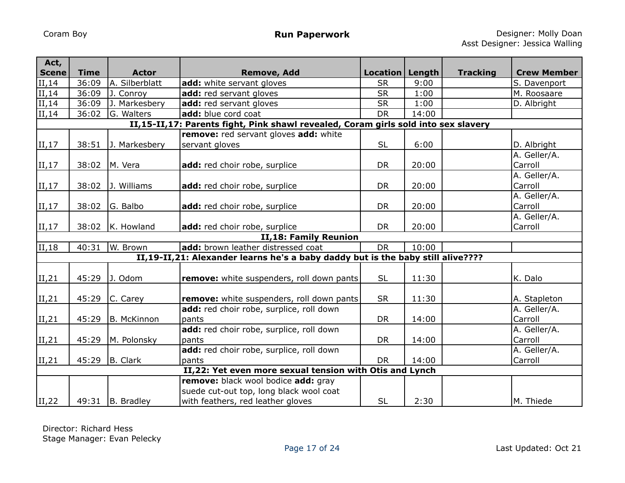| Act,<br><b>Scene</b> | <b>Time</b> | <b>Actor</b>   | <b>Remove, Add</b>                                                                 | Location   Length |       | <b>Tracking</b> | <b>Crew Member</b> |
|----------------------|-------------|----------------|------------------------------------------------------------------------------------|-------------------|-------|-----------------|--------------------|
| II, 14               | 36:09       | A. Silberblatt | add: white servant gloves                                                          | <b>SR</b>         | 9:00  |                 | S. Davenport       |
| II, 14               | 36:09       | J. Conroy      | add: red servant gloves                                                            | <b>SR</b>         | 1:00  |                 | M. Roosaare        |
| II, 14               | 36:09       | J. Markesbery  | add: red servant gloves                                                            | <b>SR</b>         | 1:00  |                 | D. Albright        |
| II, 14               | 36:02       | G. Walters     | add: blue cord coat                                                                | <b>DR</b>         | 14:00 |                 |                    |
|                      |             |                | II,15-II,17: Parents fight, Pink shawl revealed, Coram girls sold into sex slavery |                   |       |                 |                    |
|                      |             |                | remove: red servant gloves add: white                                              |                   |       |                 |                    |
| II,17                | 38:51       | J. Markesbery  | servant gloves                                                                     | <b>SL</b>         | 6:00  |                 | D. Albright        |
|                      |             |                |                                                                                    |                   |       |                 | A. Geller/A.       |
| II, 17               | 38:02       | M. Vera        | add: red choir robe, surplice                                                      | DR                | 20:00 |                 | Carroll            |
|                      |             |                |                                                                                    |                   |       |                 | A. Geller/A.       |
| II, 17               | 38:02       | J. Williams    | add: red choir robe, surplice                                                      | <b>DR</b>         | 20:00 |                 | Carroll            |
|                      |             |                |                                                                                    |                   |       |                 | A. Geller/A.       |
| II, 17               | 38:02       | G. Balbo       | add: red choir robe, surplice                                                      | <b>DR</b>         | 20:00 |                 | Carroll            |
|                      |             |                |                                                                                    |                   |       |                 | A. Geller/A.       |
| II,17                | 38:02       | K. Howland     | add: red choir robe, surplice                                                      | <b>DR</b>         | 20:00 |                 | Carroll            |
|                      |             |                | II,18: Family Reunion                                                              |                   |       |                 |                    |
| II,18                | 40:31       | W. Brown       | add: brown leather distressed coat                                                 | <b>DR</b>         | 10:00 |                 |                    |
|                      |             |                | II,19-II,21: Alexander learns he's a baby daddy but is the baby still alive????    |                   |       |                 |                    |
|                      |             |                |                                                                                    |                   |       |                 |                    |
| II, 21               | 45:29       | J. Odom        | remove: white suspenders, roll down pants                                          | <b>SL</b>         | 11:30 |                 | K. Dalo            |
|                      |             |                |                                                                                    |                   |       |                 |                    |
| II,21                | 45:29       | C. Carey       | remove: white suspenders, roll down pants                                          | <b>SR</b>         | 11:30 |                 | A. Stapleton       |
|                      |             |                | add: red choir robe, surplice, roll down                                           |                   |       |                 | A. Geller/A.       |
| II,21                | 45:29       | B. McKinnon    | pants                                                                              | <b>DR</b>         | 14:00 |                 | Carroll            |
|                      |             |                | add: red choir robe, surplice, roll down                                           |                   |       |                 | A. Geller/A.       |
| II,21                | 45:29       | M. Polonsky    | pants                                                                              | <b>DR</b>         | 14:00 |                 | Carroll            |
|                      |             |                | add: red choir robe, surplice, roll down                                           |                   |       |                 | A. Geller/A.       |
| II,21                | 45:29       | B. Clark       | pants                                                                              | <b>DR</b>         | 14:00 |                 | Carroll            |
|                      |             |                | II,22: Yet even more sexual tension with Otis and Lynch                            |                   |       |                 |                    |
|                      |             |                | remove: black wool bodice add: gray                                                |                   |       |                 |                    |
|                      |             |                | suede cut-out top, long black wool coat                                            |                   |       |                 |                    |
| II, 22               | 49:31       | B. Bradley     | with feathers, red leather gloves                                                  | <b>SL</b>         | 2:30  |                 | M. Thiede          |